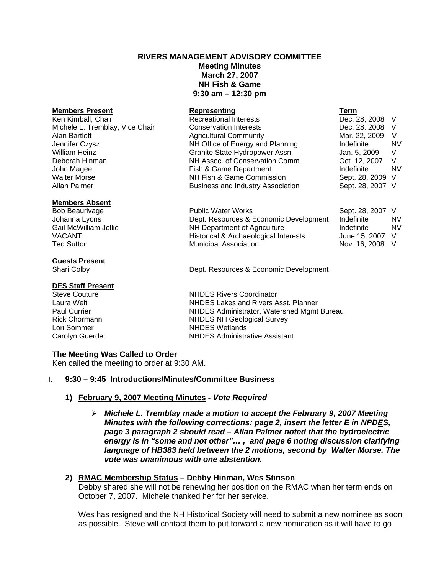# **RIVERS MANAGEMENT ADVISORY COMMITTEE Meeting Minutes March 27, 2007 NH Fish & Game 9:30 am – 12:30 pm**

#### **Members Present Represent Represent** Ken Kimball, Chair **Recreational Interests** Dec. 28, 2008 V Michele L. Tremblay, Vice Chair Conservation Interests Dec. 28, 2008 V Alan Bartlett **Agricultural Community** Mar. 22, 2009 V Jennifer Czysz NH Office of Energy and Planning Indefinite NV William Heinz **Granite State Hydropower Assn.** Jan. 5, 2009 V Deborah Hinman NH Assoc. of Conservation Comm. Oct. 12, 2007 V John Magee **Fish & Game Department** Aller MV and the Second VI with MV Walter Morse **NH Fish & Game Commission** Sept. 28, 2009 V Allan Palmer **Business and Industry Association** Sept. 28, 2007 V

#### **Members Absent**

#### **Guests Present**

#### **DES Staff Present**

# **The Meeting Was Called to Order**

Ken called the meeting to order at 9:30 AM.

#### **I. 9:30 – 9:45 Introductions/Minutes/Committee Business**

#### **1) February 9, 2007 Meeting Minutes -** *Vote Required*

¾ *Michele L. Tremblay made a motion to accept the February 9, 2007 Meeting Minutes with the following corrections: page 2, insert the letter E in NPDES, page 3 paragraph 2 should read – Allan Palmer noted that the hydroelectric energy is in "some and not other"… , and page 6 noting discussion clarifying language of HB383 held between the 2 motions, second by Walter Morse. The vote was unanimous with one abstention.* 

#### **2) RMAC Membership Status – Debby Hinman, Wes Stinson**

Debby shared she will not be renewing her position on the RMAC when her term ends on October 7, 2007. Michele thanked her for her service.

Wes has resigned and the NH Historical Society will need to submit a new nominee as soon as possible. Steve will contact them to put forward a new nomination as it will have to go

| nting                    | Term           |
|--------------------------|----------------|
| nal Interests            | Dec. 28, 2008  |
| tion Interests           | Dec. 28, 2008  |
| al Community             | Mar. 22, 2009  |
| e of Energy and Planning | Indefinite     |
| itate Hydropower Assn.   | Jan. 5, 2009   |
| c. of Conservation Comm. | Oct. 12, 2007  |
| ame Department           | Indefinite     |
| & Game Commission        | Sept. 28, 2009 |
| and Industry Association | Sept. 28, 2007 |
|                          |                |

| Bob Beaurivage        | <b>Public Water Works</b>              | Sept. 28, 2007 V |    |
|-----------------------|----------------------------------------|------------------|----|
| Johanna Lyons         | Dept. Resources & Economic Development | Indefinite       | NV |
| Gail McWilliam Jellie | NH Department of Agriculture           | Indefinite       | NV |
| VACANT                | Historical & Archaeological Interests  | June 15, 2007 V  |    |
| Ted Sutton            | <b>Municipal Association</b>           | Nov. 16, 2008 V  |    |

Shari Colby Dept. Resources & Economic Development

Steve Couture NHDES Rivers Coordinator Laura Weit NHDES Lakes and Rivers Asst. Planner Paul Currier **NHDES Administrator, Watershed Mgmt Bureau**<br>Rick Chormann **NHDES NH Geological Survey NHDES NH Geological Survey** Lori Sommer NHDES Wetlands Carolyn Guerdet NHDES Administrative Assistant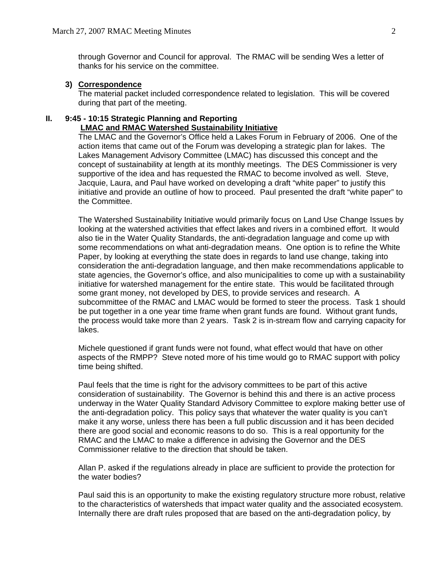through Governor and Council for approval. The RMAC will be sending Wes a letter of thanks for his service on the committee.

#### **3) Correspondence**

The material packet included correspondence related to legislation. This will be covered during that part of the meeting.

#### **II. 9:45 - 10:15 Strategic Planning and Reporting LMAC and RMAC Watershed Sustainability Initiative**

 The LMAC and the Governor's Office held a Lakes Forum in February of 2006. One of the action items that came out of the Forum was developing a strategic plan for lakes. The Lakes Management Advisory Committee (LMAC) has discussed this concept and the concept of sustainability at length at its monthly meetings. The DES Commissioner is very supportive of the idea and has requested the RMAC to become involved as well. Steve, Jacquie, Laura, and Paul have worked on developing a draft "white paper" to justify this initiative and provide an outline of how to proceed. Paul presented the draft "white paper" to the Committee.

The Watershed Sustainability Initiative would primarily focus on Land Use Change Issues by looking at the watershed activities that effect lakes and rivers in a combined effort. It would also tie in the Water Quality Standards, the anti-degradation language and come up with some recommendations on what anti-degradation means. One option is to refine the White Paper, by looking at everything the state does in regards to land use change, taking into consideration the anti-degradation language, and then make recommendations applicable to state agencies, the Governor's office, and also municipalities to come up with a sustainability initiative for watershed management for the entire state. This would be facilitated through some grant money, not developed by DES, to provide services and research. A subcommittee of the RMAC and LMAC would be formed to steer the process. Task 1 should be put together in a one year time frame when grant funds are found. Without grant funds, the process would take more than 2 years. Task 2 is in-stream flow and carrying capacity for lakes.

Michele questioned if grant funds were not found, what effect would that have on other aspects of the RMPP? Steve noted more of his time would go to RMAC support with policy time being shifted.

Paul feels that the time is right for the advisory committees to be part of this active consideration of sustainability. The Governor is behind this and there is an active process underway in the Water Quality Standard Advisory Committee to explore making better use of the anti-degradation policy. This policy says that whatever the water quality is you can't make it any worse, unless there has been a full public discussion and it has been decided there are good social and economic reasons to do so. This is a real opportunity for the RMAC and the LMAC to make a difference in advising the Governor and the DES Commissioner relative to the direction that should be taken.

Allan P. asked if the regulations already in place are sufficient to provide the protection for the water bodies?

Paul said this is an opportunity to make the existing regulatory structure more robust, relative to the characteristics of watersheds that impact water quality and the associated ecosystem. Internally there are draft rules proposed that are based on the anti-degradation policy, by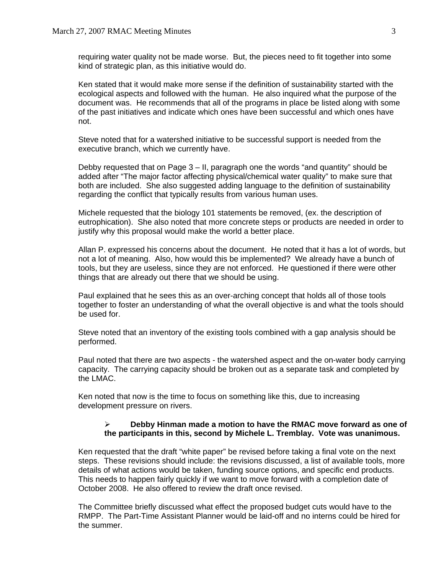requiring water quality not be made worse. But, the pieces need to fit together into some kind of strategic plan, as this initiative would do.

Ken stated that it would make more sense if the definition of sustainability started with the ecological aspects and followed with the human. He also inquired what the purpose of the document was. He recommends that all of the programs in place be listed along with some of the past initiatives and indicate which ones have been successful and which ones have not.

Steve noted that for a watershed initiative to be successful support is needed from the executive branch, which we currently have.

Debby requested that on Page 3 – II, paragraph one the words "and quantity" should be added after "The major factor affecting physical/chemical water quality" to make sure that both are included. She also suggested adding language to the definition of sustainability regarding the conflict that typically results from various human uses.

Michele requested that the biology 101 statements be removed, (ex. the description of eutrophication). She also noted that more concrete steps or products are needed in order to justify why this proposal would make the world a better place.

Allan P. expressed his concerns about the document. He noted that it has a lot of words, but not a lot of meaning. Also, how would this be implemented? We already have a bunch of tools, but they are useless, since they are not enforced. He questioned if there were other things that are already out there that we should be using.

Paul explained that he sees this as an over-arching concept that holds all of those tools together to foster an understanding of what the overall objective is and what the tools should be used for.

Steve noted that an inventory of the existing tools combined with a gap analysis should be performed.

Paul noted that there are two aspects - the watershed aspect and the on-water body carrying capacity. The carrying capacity should be broken out as a separate task and completed by the LMAC.

Ken noted that now is the time to focus on something like this, due to increasing development pressure on rivers.

### ¾ **Debby Hinman made a motion to have the RMAC move forward as one of the participants in this, second by Michele L. Tremblay. Vote was unanimous.**

Ken requested that the draft "white paper" be revised before taking a final vote on the next steps. These revisions should include: the revisions discussed, a list of available tools, more details of what actions would be taken, funding source options, and specific end products. This needs to happen fairly quickly if we want to move forward with a completion date of October 2008. He also offered to review the draft once revised.

The Committee briefly discussed what effect the proposed budget cuts would have to the RMPP. The Part-Time Assistant Planner would be laid-off and no interns could be hired for the summer.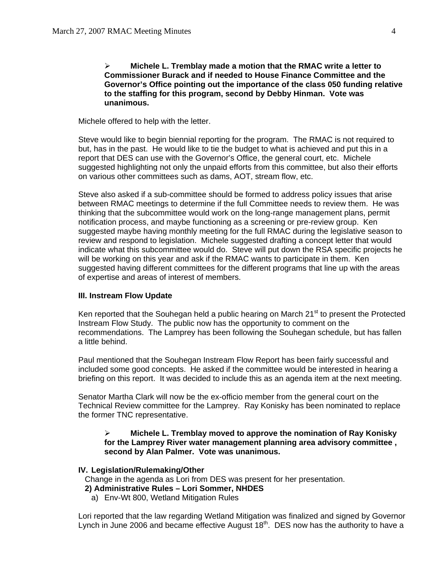¾ **Michele L. Tremblay made a motion that the RMAC write a letter to Commissioner Burack and if needed to House Finance Committee and the Governor's Office pointing out the importance of the class 050 funding relative to the staffing for this program, second by Debby Hinman. Vote was unanimous.** 

Michele offered to help with the letter.

Steve would like to begin biennial reporting for the program. The RMAC is not required to but, has in the past. He would like to tie the budget to what is achieved and put this in a report that DES can use with the Governor's Office, the general court, etc. Michele suggested highlighting not only the unpaid efforts from this committee, but also their efforts on various other committees such as dams, AOT, stream flow, etc.

Steve also asked if a sub-committee should be formed to address policy issues that arise between RMAC meetings to determine if the full Committee needs to review them. He was thinking that the subcommittee would work on the long-range management plans, permit notification process, and maybe functioning as a screening or pre-review group. Ken suggested maybe having monthly meeting for the full RMAC during the legislative season to review and respond to legislation. Michele suggested drafting a concept letter that would indicate what this subcommittee would do. Steve will put down the RSA specific projects he will be working on this year and ask if the RMAC wants to participate in them. Ken suggested having different committees for the different programs that line up with the areas of expertise and areas of interest of members.

#### **III. Instream Flow Update**

Ken reported that the Souhegan held a public hearing on March  $21<sup>st</sup>$  to present the Protected Instream Flow Study. The public now has the opportunity to comment on the recommendations. The Lamprey has been following the Souhegan schedule, but has fallen a little behind.

Paul mentioned that the Souhegan Instream Flow Report has been fairly successful and included some good concepts. He asked if the committee would be interested in hearing a briefing on this report. It was decided to include this as an agenda item at the next meeting.

Senator Martha Clark will now be the ex-officio member from the general court on the Technical Review committee for the Lamprey. Ray Konisky has been nominated to replace the former TNC representative.

# ¾ **Michele L. Tremblay moved to approve the nomination of Ray Konisky for the Lamprey River water management planning area advisory committee , second by Alan Palmer. Vote was unanimous.**

#### **IV. Legislation/Rulemaking/Other**

Change in the agenda as Lori from DES was present for her presentation.

- **2) Administrative Rules Lori Sommer, NHDES**
- a) Env-Wt 800, Wetland Mitigation Rules

Lori reported that the law regarding Wetland Mitigation was finalized and signed by Governor Lynch in June 2006 and became effective August 18<sup>th</sup>. DES now has the authority to have a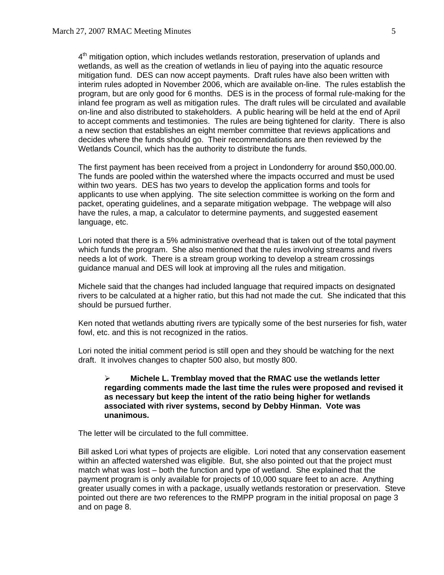$4<sup>th</sup>$  mitigation option, which includes wetlands restoration, preservation of uplands and wetlands, as well as the creation of wetlands in lieu of paying into the aquatic resource mitigation fund. DES can now accept payments. Draft rules have also been written with interim rules adopted in November 2006, which are available on-line. The rules establish the program, but are only good for 6 months. DES is in the process of formal rule-making for the inland fee program as well as mitigation rules. The draft rules will be circulated and available on-line and also distributed to stakeholders. A public hearing will be held at the end of April to accept comments and testimonies. The rules are being tightened for clarity. There is also a new section that establishes an eight member committee that reviews applications and decides where the funds should go. Their recommendations are then reviewed by the Wetlands Council, which has the authority to distribute the funds.

The first payment has been received from a project in Londonderry for around \$50,000.00. The funds are pooled within the watershed where the impacts occurred and must be used within two years. DES has two years to develop the application forms and tools for applicants to use when applying. The site selection committee is working on the form and packet, operating guidelines, and a separate mitigation webpage. The webpage will also have the rules, a map, a calculator to determine payments, and suggested easement language, etc.

Lori noted that there is a 5% administrative overhead that is taken out of the total payment which funds the program. She also mentioned that the rules involving streams and rivers needs a lot of work. There is a stream group working to develop a stream crossings guidance manual and DES will look at improving all the rules and mitigation.

Michele said that the changes had included language that required impacts on designated rivers to be calculated at a higher ratio, but this had not made the cut. She indicated that this should be pursued further.

Ken noted that wetlands abutting rivers are typically some of the best nurseries for fish, water fowl, etc. and this is not recognized in the ratios.

Lori noted the initial comment period is still open and they should be watching for the next draft. It involves changes to chapter 500 also, but mostly 800.

# ¾ **Michele L. Tremblay moved that the RMAC use the wetlands letter regarding comments made the last time the rules were proposed and revised it as necessary but keep the intent of the ratio being higher for wetlands associated with river systems, second by Debby Hinman. Vote was unanimous.**

The letter will be circulated to the full committee.

Bill asked Lori what types of projects are eligible. Lori noted that any conservation easement within an affected watershed was eligible. But, she also pointed out that the project must match what was lost – both the function and type of wetland. She explained that the payment program is only available for projects of 10,000 square feet to an acre. Anything greater usually comes in with a package, usually wetlands restoration or preservation. Steve pointed out there are two references to the RMPP program in the initial proposal on page 3 and on page 8.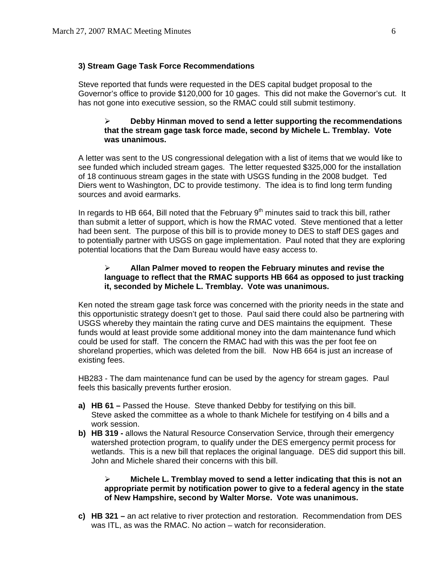# **3) Stream Gage Task Force Recommendations**

Steve reported that funds were requested in the DES capital budget proposal to the Governor's office to provide \$120,000 for 10 gages. This did not make the Governor's cut. It has not gone into executive session, so the RMAC could still submit testimony.

#### ¾ **Debby Hinman moved to send a letter supporting the recommendations that the stream gage task force made, second by Michele L. Tremblay. Vote was unanimous.**

A letter was sent to the US congressional delegation with a list of items that we would like to see funded which included stream gages. The letter requested \$325,000 for the installation of 18 continuous stream gages in the state with USGS funding in the 2008 budget. Ted Diers went to Washington, DC to provide testimony. The idea is to find long term funding sources and avoid earmarks.

In regards to HB 664, Bill noted that the February  $9<sup>th</sup>$  minutes said to track this bill, rather than submit a letter of support, which is how the RMAC voted. Steve mentioned that a letter had been sent. The purpose of this bill is to provide money to DES to staff DES gages and to potentially partner with USGS on gage implementation. Paul noted that they are exploring potential locations that the Dam Bureau would have easy access to.

# ¾ **Allan Palmer moved to reopen the February minutes and revise the language to reflect that the RMAC supports HB 664 as opposed to just tracking it, seconded by Michele L. Tremblay. Vote was unanimous.**

Ken noted the stream gage task force was concerned with the priority needs in the state and this opportunistic strategy doesn't get to those. Paul said there could also be partnering with USGS whereby they maintain the rating curve and DES maintains the equipment. These funds would at least provide some additional money into the dam maintenance fund which could be used for staff. The concern the RMAC had with this was the per foot fee on shoreland properties, which was deleted from the bill. Now HB 664 is just an increase of existing fees.

HB283 - The dam maintenance fund can be used by the agency for stream gages. Paul feels this basically prevents further erosion.

- **a) HB 61** Passed the House. Steve thanked Debby for testifying on this bill. Steve asked the committee as a whole to thank Michele for testifying on 4 bills and a work session.
- **b) HB 319** allows the Natural Resource Conservation Service, through their emergency watershed protection program, to qualify under the DES emergency permit process for wetlands. This is a new bill that replaces the original language. DES did support this bill. John and Michele shared their concerns with this bill.

# ¾ **Michele L. Tremblay moved to send a letter indicating that this is not an appropriate permit by notification power to give to a federal agency in the state of New Hampshire, second by Walter Morse. Vote was unanimous.**

**c) HB 321 –** an act relative to river protection and restoration. Recommendation from DES was ITL, as was the RMAC. No action – watch for reconsideration.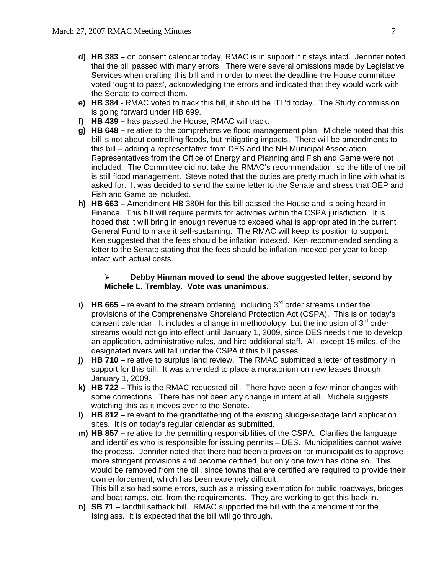- **d) HB 383** on consent calendar today, RMAC is in support if it stays intact. Jennifer noted that the bill passed with many errors. There were several omissions made by Legislative Services when drafting this bill and in order to meet the deadline the House committee voted 'ought to pass', acknowledging the errors and indicated that they would work with the Senate to correct them.
- **e) HB 384 -** RMAC voted to track this bill, it should be ITL'd today. The Study commission is going forward under HB 699.
- **f) HB 439** has passed the House, RMAC will track.
- **g) HB 648** relative to the comprehensive flood management plan. Michele noted that this bill is not about controlling floods, but mitigating impacts. There will be amendments to this bill – adding a representative from DES and the NH Municipal Association. Representatives from the Office of Energy and Planning and Fish and Game were not included. The Committee did not take the RMAC's recommendation, so the title of the bill is still flood management. Steve noted that the duties are pretty much in line with what is asked for. It was decided to send the same letter to the Senate and stress that OEP and Fish and Game be included.
- **h) HB 663** Amendment HB 380H for this bill passed the House and is being heard in Finance. This bill will require permits for activities within the CSPA jurisdiction. It is hoped that it will bring in enough revenue to exceed what is appropriated in the current General Fund to make it self-sustaining. The RMAC will keep its position to support. Ken suggested that the fees should be inflation indexed. Ken recommended sending a letter to the Senate stating that the fees should be inflation indexed per year to keep intact with actual costs.

# ¾ **Debby Hinman moved to send the above suggested letter, second by Michele L. Tremblay. Vote was unanimous.**

- **i)** HB 665 relevant to the stream ordering, including 3<sup>rd</sup> order streams under the provisions of the Comprehensive Shoreland Protection Act (CSPA). This is on today's consent calendar. It includes a change in methodology, but the inclusion of  $3<sup>rd</sup>$  order streams would not go into effect until January 1, 2009, since DES needs time to develop an application, administrative rules, and hire additional staff. All, except 15 miles, of the designated rivers will fall under the CSPA if this bill passes.
- **j) HB 710 –** relative to surplus land review. The RMAC submitted a letter of testimony in support for this bill. It was amended to place a moratorium on new leases through January 1, 2009.
- **k) HB 722** This is the RMAC requested bill. There have been a few minor changes with some corrections. There has not been any change in intent at all. Michele suggests watching this as it moves over to the Senate.
- **l) HB 812** relevant to the grandfathering of the existing sludge/septage land application sites. It is on today's regular calendar as submitted.
- **m) HB 857** relative to the permitting responsibilities of the CSPA. Clarifies the language and identifies who is responsible for issuing permits – DES. Municipalities cannot waive the process. Jennifer noted that there had been a provision for municipalities to approve more stringent provisions and become certified, but only one town has done so. This would be removed from the bill, since towns that are certified are required to provide their own enforcement, which has been extremely difficult. This bill also had some errors, such as a missing exemption for public roadways, bridges, and boat ramps, etc. from the requirements. They are working to get this back in.
- **n) SB 71** landfill setback bill. RMAC supported the bill with the amendment for the Isinglass. It is expected that the bill will go through.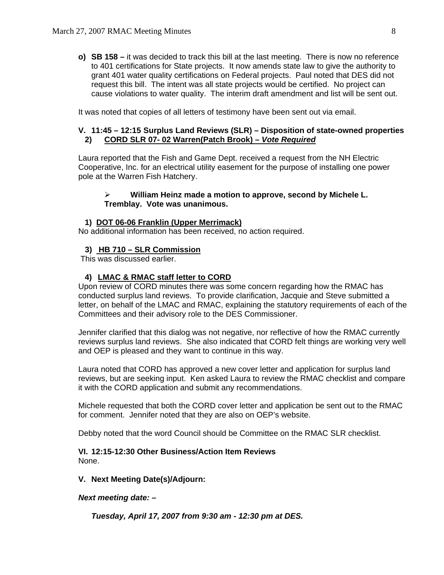**o) SB 158 –** it was decided to track this bill at the last meeting. There is now no reference to 401 certifications for State projects. It now amends state law to give the authority to grant 401 water quality certifications on Federal projects. Paul noted that DES did not request this bill. The intent was all state projects would be certified. No project can cause violations to water quality. The interim draft amendment and list will be sent out.

It was noted that copies of all letters of testimony have been sent out via email.

# **V. 11:45 – 12:15 Surplus Land Reviews (SLR) – Disposition of state-owned properties 2) CORD SLR 07- 02 Warren(Patch Brook) –** *Vote Required*

Laura reported that the Fish and Game Dept. received a request from the NH Electric Cooperative, Inc. for an electrical utility easement for the purpose of installing one power pole at the Warren Fish Hatchery.

#### ¾ **William Heinz made a motion to approve, second by Michele L. Tremblay. Vote was unanimous.**

#### **1) DOT 06-06 Franklin (Upper Merrimack)**

No additional information has been received, no action required.

#### **3) HB 710 – SLR Commission**

This was discussed earlier.

#### **4) LMAC & RMAC staff letter to CORD**

Upon review of CORD minutes there was some concern regarding how the RMAC has conducted surplus land reviews. To provide clarification, Jacquie and Steve submitted a letter, on behalf of the LMAC and RMAC, explaining the statutory requirements of each of the Committees and their advisory role to the DES Commissioner.

Jennifer clarified that this dialog was not negative, nor reflective of how the RMAC currently reviews surplus land reviews. She also indicated that CORD felt things are working very well and OEP is pleased and they want to continue in this way.

Laura noted that CORD has approved a new cover letter and application for surplus land reviews, but are seeking input. Ken asked Laura to review the RMAC checklist and compare it with the CORD application and submit any recommendations.

Michele requested that both the CORD cover letter and application be sent out to the RMAC for comment. Jennifer noted that they are also on OEP's website.

Debby noted that the word Council should be Committee on the RMAC SLR checklist.

#### **VI. 12:15-12:30 Other Business/Action Item Reviews**  None.

#### **V. Next Meeting Date(s)/Adjourn:**

#### *Next meeting date: –*

 *Tuesday, April 17, 2007 from 9:30 am - 12:30 pm at DES.*